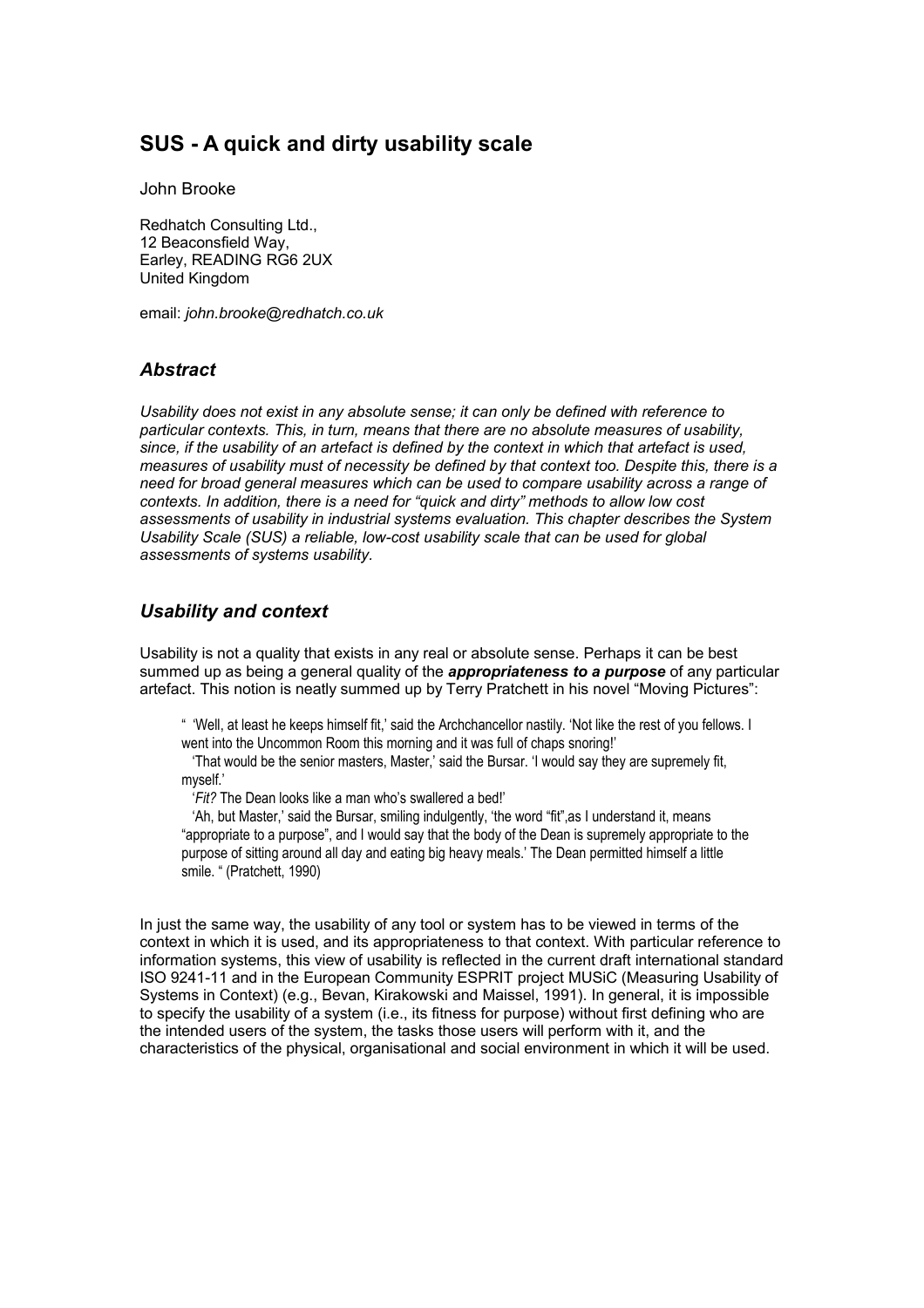# **SUS - A quick and dirty usability scale**

John Brooke

Redhatch Consulting Ltd., 12 Beaconsfield Way, Earley, READING RG6 2UX United Kingdom

email: *john.brooke@redhatch.co.uk*

### *Abstract*

*Usability does not exist in any absolute sense; it can only be defined with reference to particular contexts. This, in turn, means that there are no absolute measures of usability, since, if the usability of an artefact is defined by the context in which that artefact is used, measures of usability must of necessity be defined by that context too. Despite this, there is a need for broad general measures which can be used to compare usability across a range of contexts. In addition, there is a need for "quick and dirty" methods to allow low cost assessments of usability in industrial systems evaluation. This chapter describes the System Usability Scale (SUS) a reliable, low-cost usability scale that can be used for global assessments of systems usability.*

#### *Usability and context*

Usability is not a quality that exists in any real or absolute sense. Perhaps it can be best summed up as being a general quality of the *appropriateness to a purpose* of any particular artefact. This notion is neatly summed up by Terry Pratchett in his novel "Moving Pictures":

" 'Well, at least he keeps himself fit,' said the Archchancellor nastily. 'Not like the rest of you fellows. I went into the Uncommon Room this morning and it was full of chaps snoring!'

'That would be the senior masters, Master,' said the Bursar. 'I would say they are supremely fit, myself.'

'*Fit?* The Dean looks like a man who's swallered a bed!'

'Ah, but Master,' said the Bursar, smiling indulgently, 'the word "fit",as I understand it, means "appropriate to a purpose", and I would say that the body of the Dean is supremely appropriate to the purpose of sitting around all day and eating big heavy meals.' The Dean permitted himself a little smile. " (Pratchett, 1990)

In just the same way, the usability of any tool or system has to be viewed in terms of the context in which it is used, and its appropriateness to that context. With particular reference to information systems, this view of usability is reflected in the current draft international standard ISO 9241-11 and in the European Community ESPRIT project MUSiC (Measuring Usability of Systems in Context) (e.g., Bevan, Kirakowski and Maissel, 1991). In general, it is impossible to specify the usability of a system (i.e., its fitness for purpose) without first defining who are the intended users of the system, the tasks those users will perform with it, and the characteristics of the physical, organisational and social environment in which it will be used.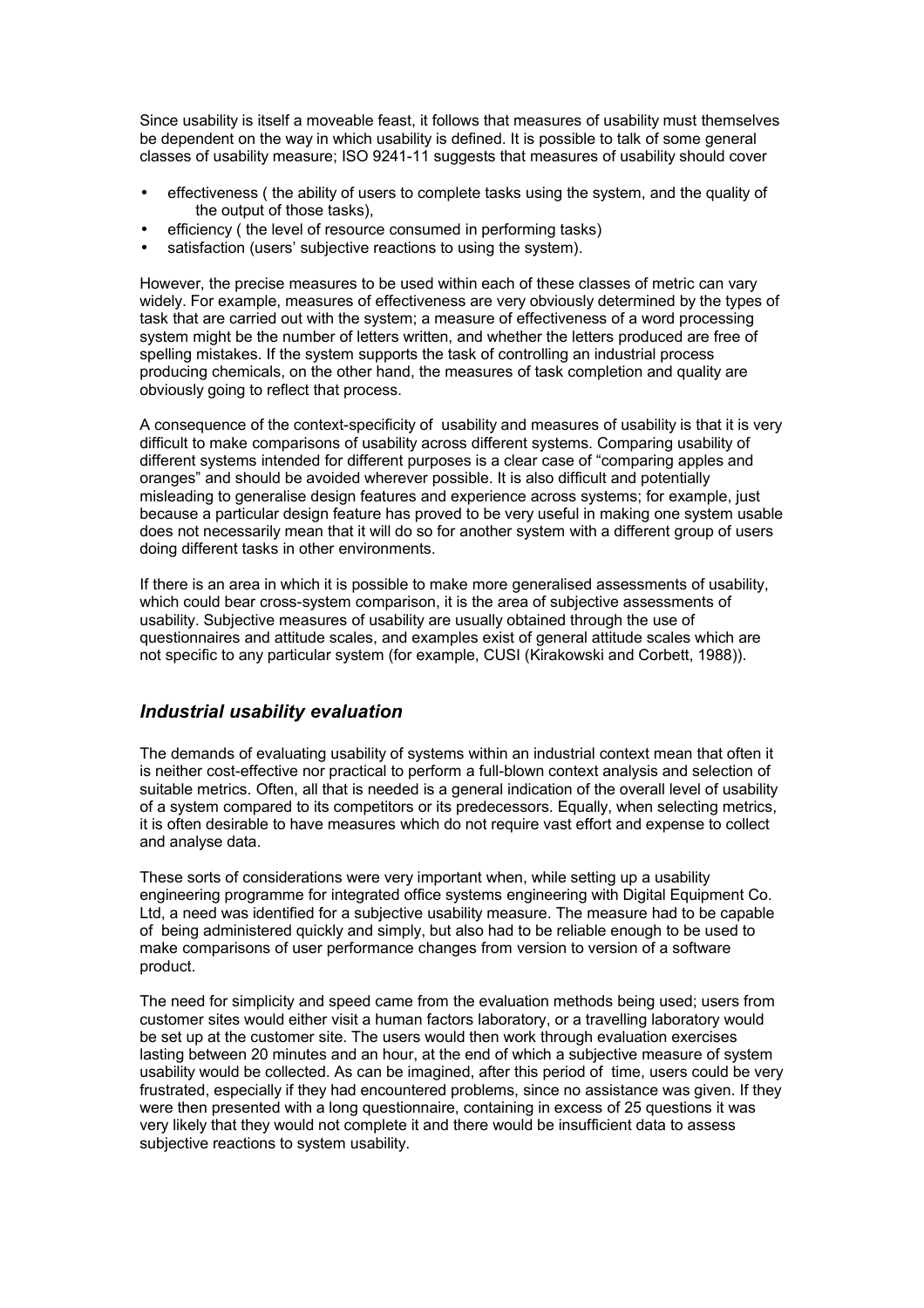Since usability is itself a moveable feast, it follows that measures of usability must themselves be dependent on the way in which usability is defined. It is possible to talk of some general classes of usability measure; ISO 9241-11 suggests that measures of usability should cover

- effectiveness ( the ability of users to complete tasks using the system, and the quality of the output of those tasks),
- efficiency ( the level of resource consumed in performing tasks)
- satisfaction (users' subjective reactions to using the system).

However, the precise measures to be used within each of these classes of metric can vary widely. For example, measures of effectiveness are very obviously determined by the types of task that are carried out with the system; a measure of effectiveness of a word processing system might be the number of letters written, and whether the letters produced are free of spelling mistakes. If the system supports the task of controlling an industrial process producing chemicals, on the other hand, the measures of task completion and quality are obviously going to reflect that process.

A consequence of the context-specificity of usability and measures of usability is that it is very difficult to make comparisons of usability across different systems. Comparing usability of different systems intended for different purposes is a clear case of "comparing apples and oranges" and should be avoided wherever possible. It is also difficult and potentially misleading to generalise design features and experience across systems; for example, just because a particular design feature has proved to be very useful in making one system usable does not necessarily mean that it will do so for another system with a different group of users doing different tasks in other environments.

If there is an area in which it is possible to make more generalised assessments of usability, which could bear cross-system comparison, it is the area of subjective assessments of usability. Subjective measures of usability are usually obtained through the use of questionnaires and attitude scales, and examples exist of general attitude scales which are not specific to any particular system (for example, CUSI (Kirakowski and Corbett, 1988)).

#### *Industrial usability evaluation*

The demands of evaluating usability of systems within an industrial context mean that often it is neither cost-effective nor practical to perform a full-blown context analysis and selection of suitable metrics. Often, all that is needed is a general indication of the overall level of usability of a system compared to its competitors or its predecessors. Equally, when selecting metrics, it is often desirable to have measures which do not require vast effort and expense to collect and analyse data.

These sorts of considerations were very important when, while setting up a usability engineering programme for integrated office systems engineering with Digital Equipment Co. Ltd, a need was identified for a subjective usability measure. The measure had to be capable of being administered quickly and simply, but also had to be reliable enough to be used to make comparisons of user performance changes from version to version of a software product.

The need for simplicity and speed came from the evaluation methods being used; users from customer sites would either visit a human factors laboratory, or a travelling laboratory would be set up at the customer site. The users would then work through evaluation exercises lasting between 20 minutes and an hour, at the end of which a subjective measure of system usability would be collected. As can be imagined, after this period of time, users could be very frustrated, especially if they had encountered problems, since no assistance was given. If they were then presented with a long questionnaire, containing in excess of 25 questions it was very likely that they would not complete it and there would be insufficient data to assess subjective reactions to system usability.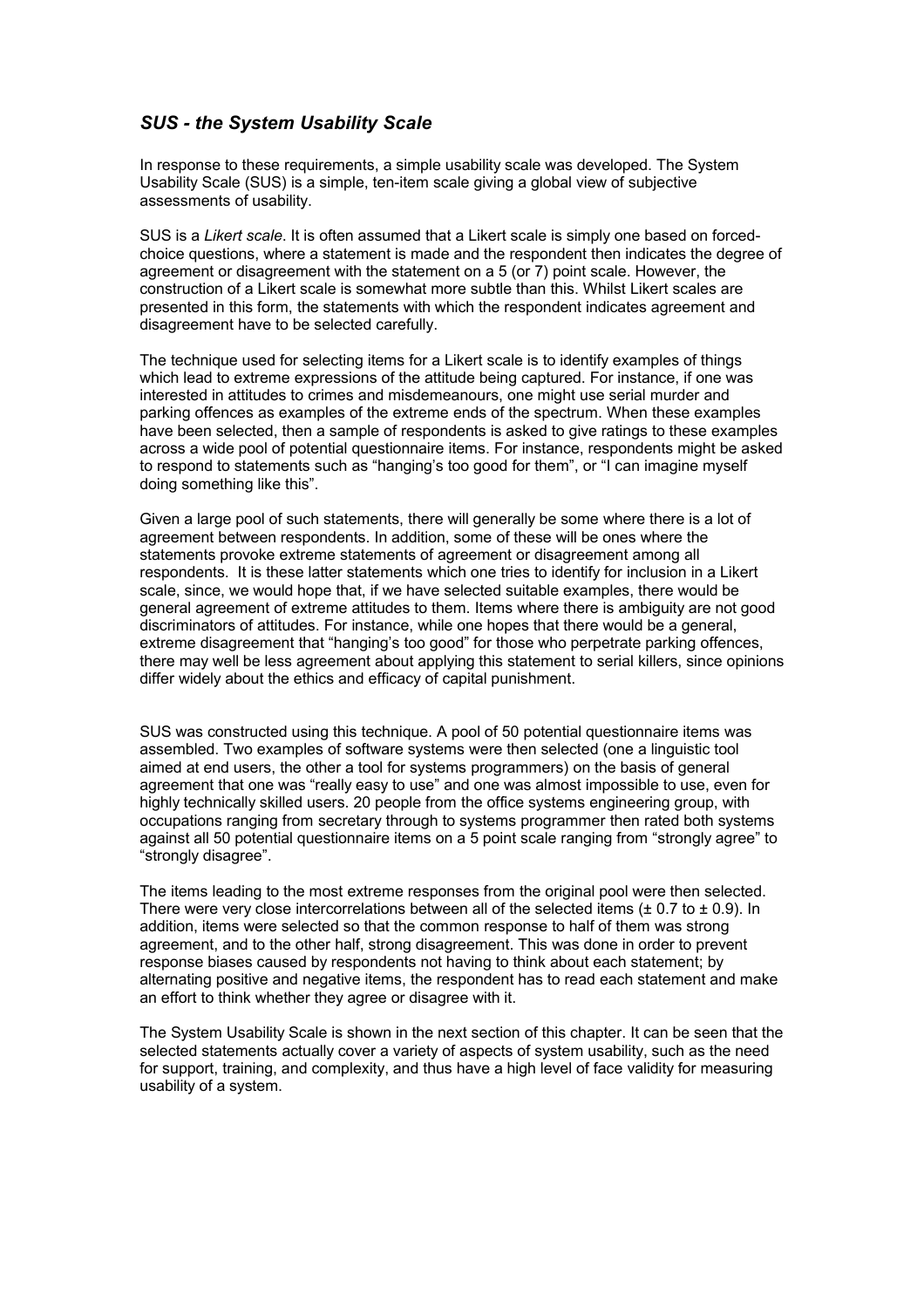## *SUS - the System Usability Scale*

In response to these requirements, a simple usability scale was developed. The System Usability Scale (SUS) is a simple, ten-item scale giving a global view of subjective assessments of usability.

SUS is a *Likert scale*. It is often assumed that a Likert scale is simply one based on forcedchoice questions, where a statement is made and the respondent then indicates the degree of agreement or disagreement with the statement on a 5 (or 7) point scale. However, the construction of a Likert scale is somewhat more subtle than this. Whilst Likert scales are presented in this form, the statements with which the respondent indicates agreement and disagreement have to be selected carefully.

The technique used for selecting items for a Likert scale is to identify examples of things which lead to extreme expressions of the attitude being captured. For instance, if one was interested in attitudes to crimes and misdemeanours, one might use serial murder and parking offences as examples of the extreme ends of the spectrum. When these examples have been selected, then a sample of respondents is asked to give ratings to these examples across a wide pool of potential questionnaire items. For instance, respondents might be asked to respond to statements such as "hanging's too good for them", or "I can imagine myself doing something like this".

Given a large pool of such statements, there will generally be some where there is a lot of agreement between respondents. In addition, some of these will be ones where the statements provoke extreme statements of agreement or disagreement among all respondents. It is these latter statements which one tries to identify for inclusion in a Likert scale, since, we would hope that, if we have selected suitable examples, there would be general agreement of extreme attitudes to them. Items where there is ambiguity are not good discriminators of attitudes. For instance, while one hopes that there would be a general, extreme disagreement that "hanging's too good" for those who perpetrate parking offences, there may well be less agreement about applying this statement to serial killers, since opinions differ widely about the ethics and efficacy of capital punishment.

SUS was constructed using this technique. A pool of 50 potential questionnaire items was assembled. Two examples of software systems were then selected (one a linguistic tool aimed at end users, the other a tool for systems programmers) on the basis of general agreement that one was "really easy to use" and one was almost impossible to use, even for highly technically skilled users. 20 people from the office systems engineering group, with occupations ranging from secretary through to systems programmer then rated both systems against all 50 potential questionnaire items on a 5 point scale ranging from "strongly agree" to "strongly disagree".

The items leading to the most extreme responses from the original pool were then selected. There were very close intercorrelations between all of the selected items ( $\pm$  0.7 to  $\pm$  0.9). In addition, items were selected so that the common response to half of them was strong agreement, and to the other half, strong disagreement. This was done in order to prevent response biases caused by respondents not having to think about each statement; by alternating positive and negative items, the respondent has to read each statement and make an effort to think whether they agree or disagree with it.

The System Usability Scale is shown in the next section of this chapter. It can be seen that the selected statements actually cover a variety of aspects of system usability, such as the need for support, training, and complexity, and thus have a high level of face validity for measuring usability of a system.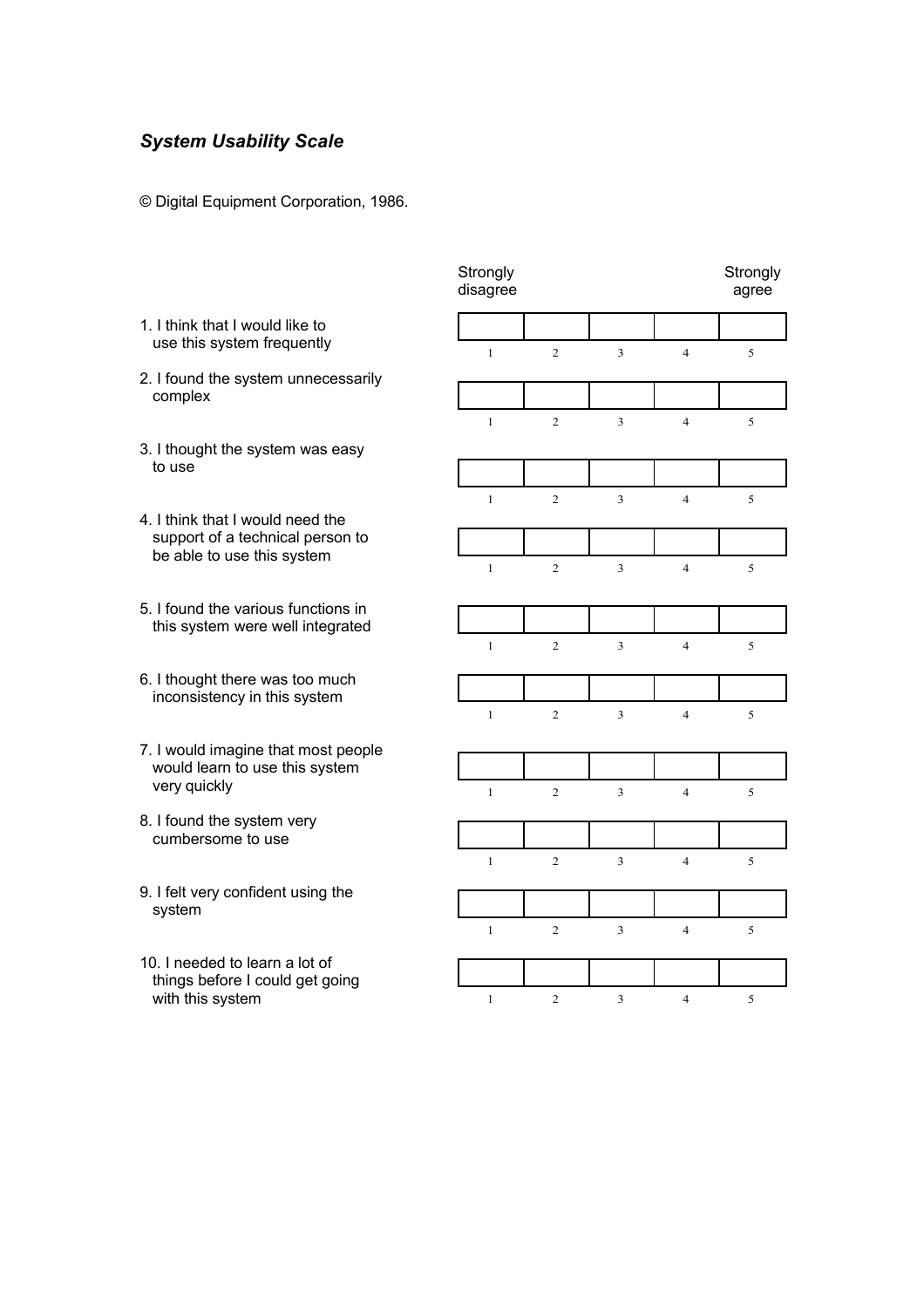## *System Usability Scale*

© Digital Equipment Corporation, 1986.

- 1. I think that I would like to use this system frequently
- 2. I found the system unnecessarily complex
- 3. I thought the system was easy to use
- 4. I think that I would need the support of a technical person to be able to use this system
- 5. I found the various functions in this system were well integrated
- 6. I thought there was too much inconsistency in this system
- 7. I would imagine that most people would learn to use this system very quickly
- 8. I found the system very cumbersome to use
- 9. I felt very confident using the system
- 10. I needed to learn a lot of things before I could get going with this system

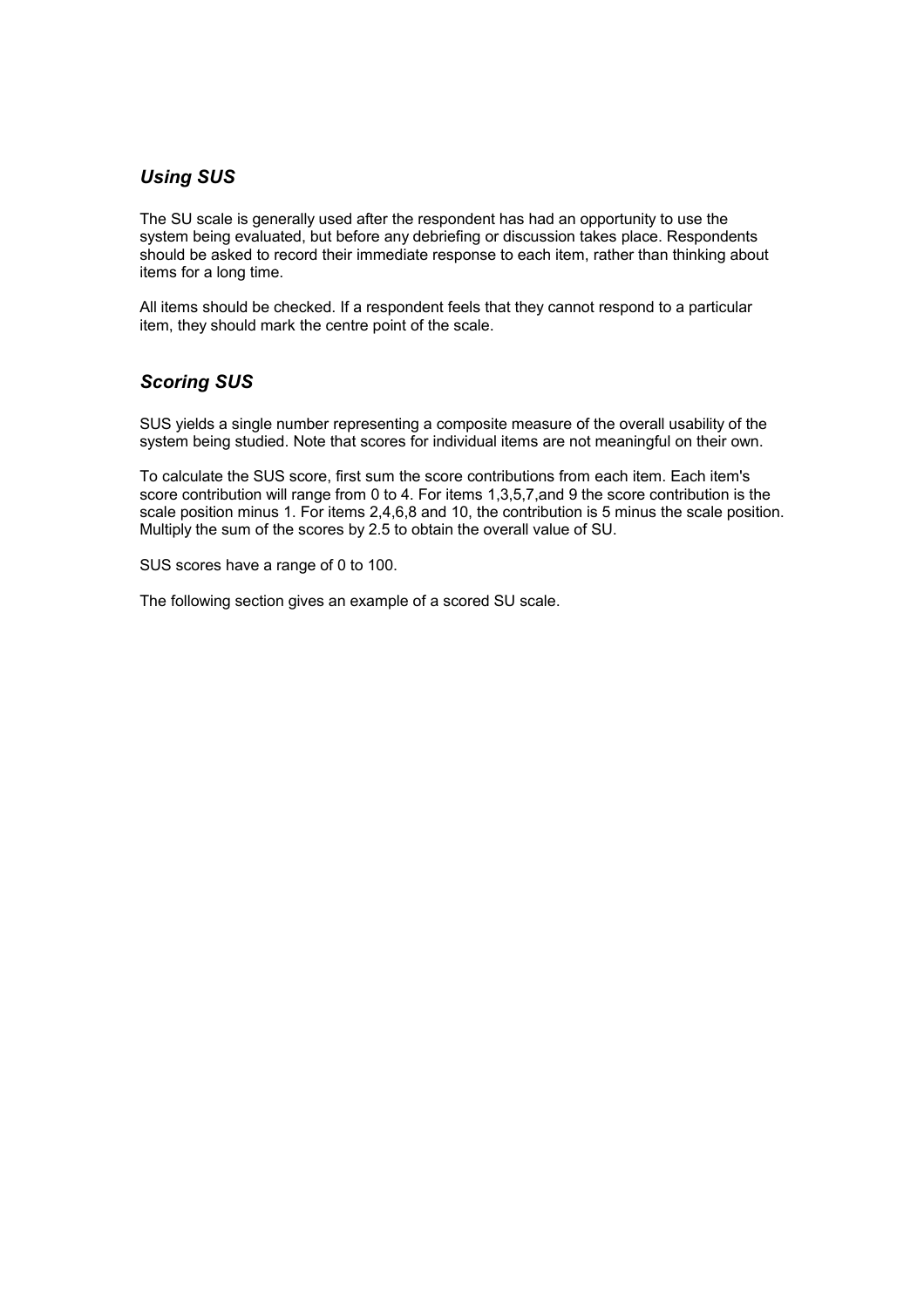## *Using SUS*

The SU scale is generally used after the respondent has had an opportunity to use the system being evaluated, but before any debriefing or discussion takes place. Respondents should be asked to record their immediate response to each item, rather than thinking about items for a long time.

All items should be checked. If a respondent feels that they cannot respond to a particular item, they should mark the centre point of the scale.

### *Scoring SUS*

SUS yields a single number representing a composite measure of the overall usability of the system being studied. Note that scores for individual items are not meaningful on their own.

To calculate the SUS score, first sum the score contributions from each item. Each item's score contribution will range from 0 to 4. For items 1,3,5,7,and 9 the score contribution is the scale position minus 1. For items 2,4,6,8 and 10, the contribution is 5 minus the scale position. Multiply the sum of the scores by 2.5 to obtain the overall value of SU.

SUS scores have a range of 0 to 100.

The following section gives an example of a scored SU scale.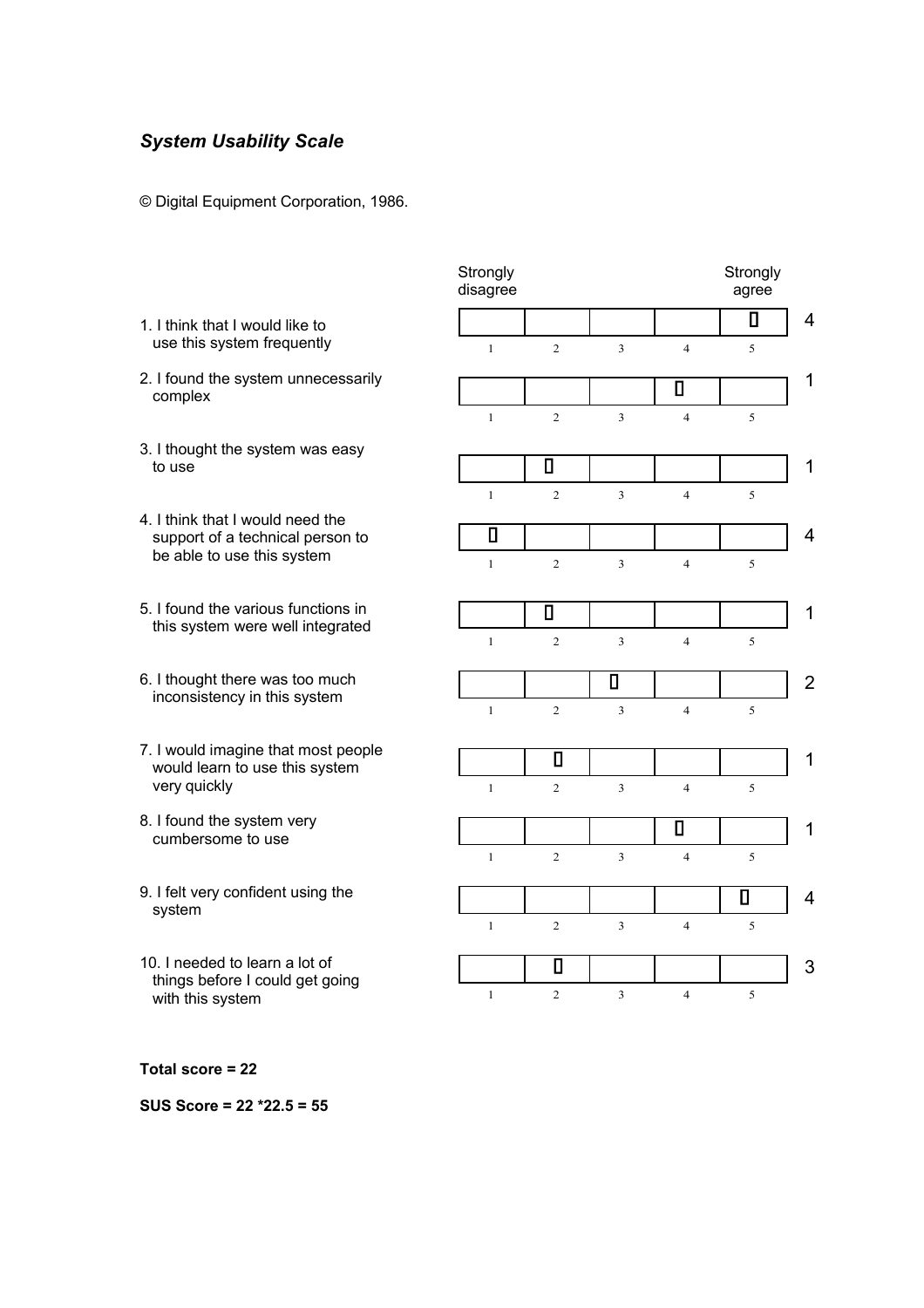## *System Usability Scale*

© Digital Equipment Corporation, 1986.

- 1. I think that I would like to use this system frequently
- 2. I found the system unnecessarily complex
- 3. I thought the system was easy to use
- 4. I think that I would need the support of a technical person to be able to use this system
- 5. I found the various functions in this system were well integrated
- 6. I thought there was too much inconsistency in this system
- 7. I would imagine that most people would learn to use this system very quickly
- 8. I found the system very cumbersome to use
- 9. I felt very confident using the system
- 10. I needed to learn a lot of things before I could get going with this system



**Total score = 22**

**SUS Score = 22 \*22.5 = 55**